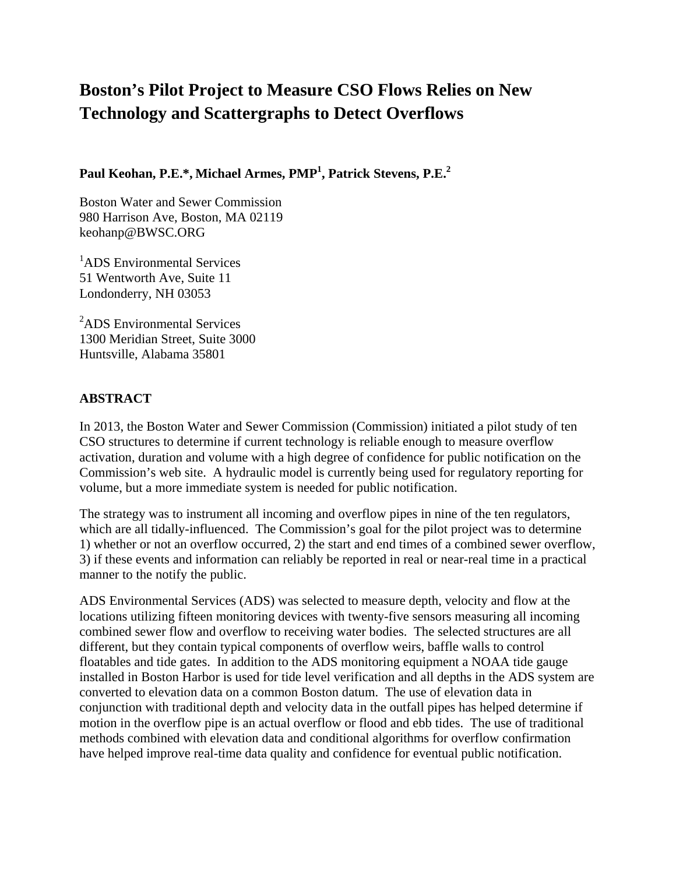# **Boston's Pilot Project to Measure CSO Flows Relies on New Technology and Scattergraphs to Detect Overflows**

**Paul Keohan, P.E.\*, Michael Armes, PMP1 , Patrick Stevens, P.E.2**

Boston Water and Sewer Commission 980 Harrison Ave, Boston, MA 02119 keohanp@BWSC.ORG

<sup>1</sup>ADS Environmental Services 51 Wentworth Ave, Suite 11 Londonderry, NH 03053

<sup>2</sup>ADS Environmental Services 1300 Meridian Street, Suite 3000 Huntsville, Alabama 35801

### **ABSTRACT**

In 2013, the Boston Water and Sewer Commission (Commission) initiated a pilot study of ten CSO structures to determine if current technology is reliable enough to measure overflow activation, duration and volume with a high degree of confidence for public notification on the Commission's web site. A hydraulic model is currently being used for regulatory reporting for volume, but a more immediate system is needed for public notification.

The strategy was to instrument all incoming and overflow pipes in nine of the ten regulators, which are all tidally-influenced. The Commission's goal for the pilot project was to determine 1) whether or not an overflow occurred, 2) the start and end times of a combined sewer overflow, 3) if these events and information can reliably be reported in real or near-real time in a practical manner to the notify the public.

ADS Environmental Services (ADS) was selected to measure depth, velocity and flow at the locations utilizing fifteen monitoring devices with twenty-five sensors measuring all incoming combined sewer flow and overflow to receiving water bodies. The selected structures are all different, but they contain typical components of overflow weirs, baffle walls to control floatables and tide gates. In addition to the ADS monitoring equipment a NOAA tide gauge installed in Boston Harbor is used for tide level verification and all depths in the ADS system are converted to elevation data on a common Boston datum. The use of elevation data in conjunction with traditional depth and velocity data in the outfall pipes has helped determine if motion in the overflow pipe is an actual overflow or flood and ebb tides. The use of traditional methods combined with elevation data and conditional algorithms for overflow confirmation have helped improve real-time data quality and confidence for eventual public notification.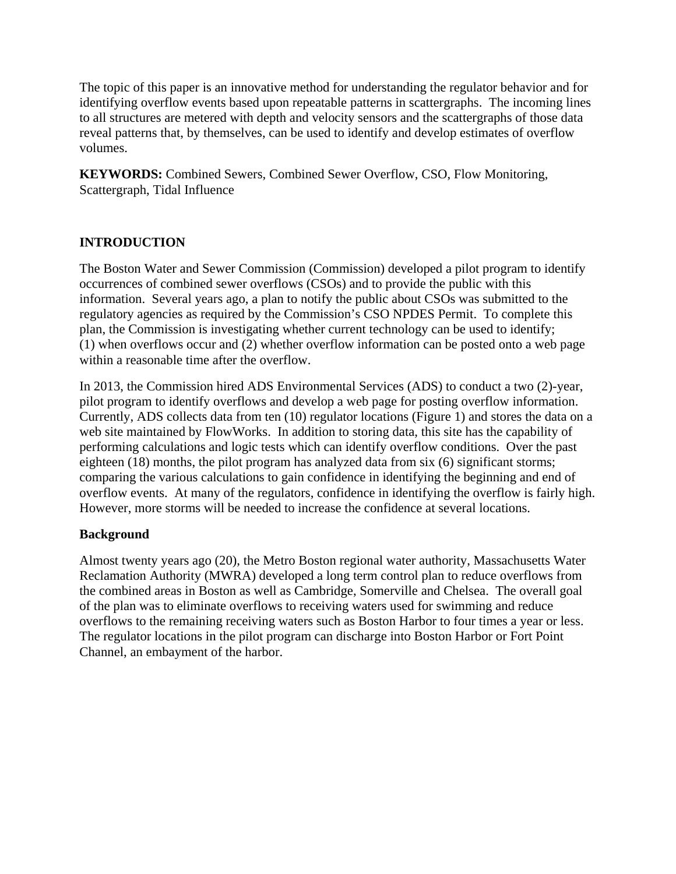The topic of this paper is an innovative method for understanding the regulator behavior and for identifying overflow events based upon repeatable patterns in scattergraphs. The incoming lines to all structures are metered with depth and velocity sensors and the scattergraphs of those data reveal patterns that, by themselves, can be used to identify and develop estimates of overflow volumes.

**KEYWORDS:** Combined Sewers, Combined Sewer Overflow, CSO, Flow Monitoring, Scattergraph, Tidal Influence

### **INTRODUCTION**

The Boston Water and Sewer Commission (Commission) developed a pilot program to identify occurrences of combined sewer overflows (CSOs) and to provide the public with this information. Several years ago, a plan to notify the public about CSOs was submitted to the regulatory agencies as required by the Commission's CSO NPDES Permit. To complete this plan, the Commission is investigating whether current technology can be used to identify; (1) when overflows occur and (2) whether overflow information can be posted onto a web page within a reasonable time after the overflow.

In 2013, the Commission hired ADS Environmental Services (ADS) to conduct a two (2)-year, pilot program to identify overflows and develop a web page for posting overflow information. Currently, ADS collects data from ten (10) regulator locations (Figure 1) and stores the data on a web site maintained by FlowWorks. In addition to storing data, this site has the capability of performing calculations and logic tests which can identify overflow conditions. Over the past eighteen (18) months, the pilot program has analyzed data from six (6) significant storms; comparing the various calculations to gain confidence in identifying the beginning and end of overflow events. At many of the regulators, confidence in identifying the overflow is fairly high. However, more storms will be needed to increase the confidence at several locations.

#### **Background**

Almost twenty years ago (20), the Metro Boston regional water authority, Massachusetts Water Reclamation Authority (MWRA) developed a long term control plan to reduce overflows from the combined areas in Boston as well as Cambridge, Somerville and Chelsea. The overall goal of the plan was to eliminate overflows to receiving waters used for swimming and reduce overflows to the remaining receiving waters such as Boston Harbor to four times a year or less. The regulator locations in the pilot program can discharge into Boston Harbor or Fort Point Channel, an embayment of the harbor.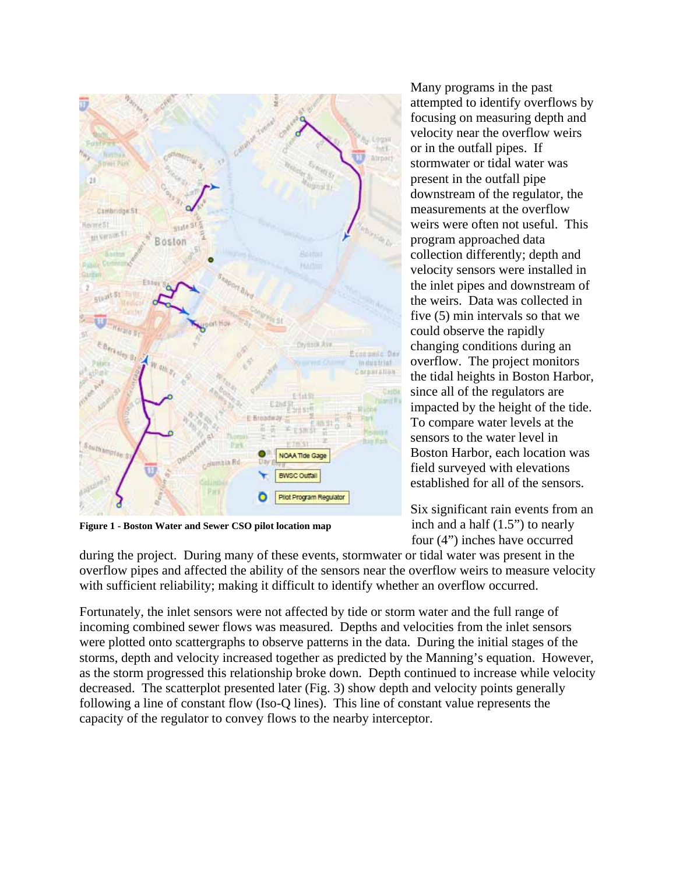

**Figure 1 - Boston Water and Sewer CSO pilot location map** 

during the project. During many of these events, stormwater or tidal water was present in the overflow pipes and affected the ability of the sensors near the overflow weirs to measure velocity with sufficient reliability; making it difficult to identify whether an overflow occurred.

Fortunately, the inlet sensors were not affected by tide or storm water and the full range of incoming combined sewer flows was measured. Depths and velocities from the inlet sensors were plotted onto scattergraphs to observe patterns in the data. During the initial stages of the storms, depth and velocity increased together as predicted by the Manning's equation. However, as the storm progressed this relationship broke down. Depth continued to increase while velocity decreased. The scatterplot presented later (Fig. 3) show depth and velocity points generally following a line of constant flow (Iso-Q lines). This line of constant value represents the capacity of the regulator to convey flows to the nearby interceptor.

Many programs in the past attempted to identify overflows by focusing on measuring depth and velocity near the overflow weirs or in the outfall pipes. If stormwater or tidal water was present in the outfall pipe downstream of the regulator, the measurements at the overflow weirs were often not useful. This program approached data collection differently; depth and velocity sensors were installed in the inlet pipes and downstream of the weirs. Data was collected in five (5) min intervals so that we could observe the rapidly changing conditions during an overflow. The project monitors the tidal heights in Boston Harbor, since all of the regulators are impacted by the height of the tide. To compare water levels at the sensors to the water level in Boston Harbor, each location was field surveyed with elevations established for all of the sensors.

Six significant rain events from an inch and a half (1.5") to nearly four (4") inches have occurred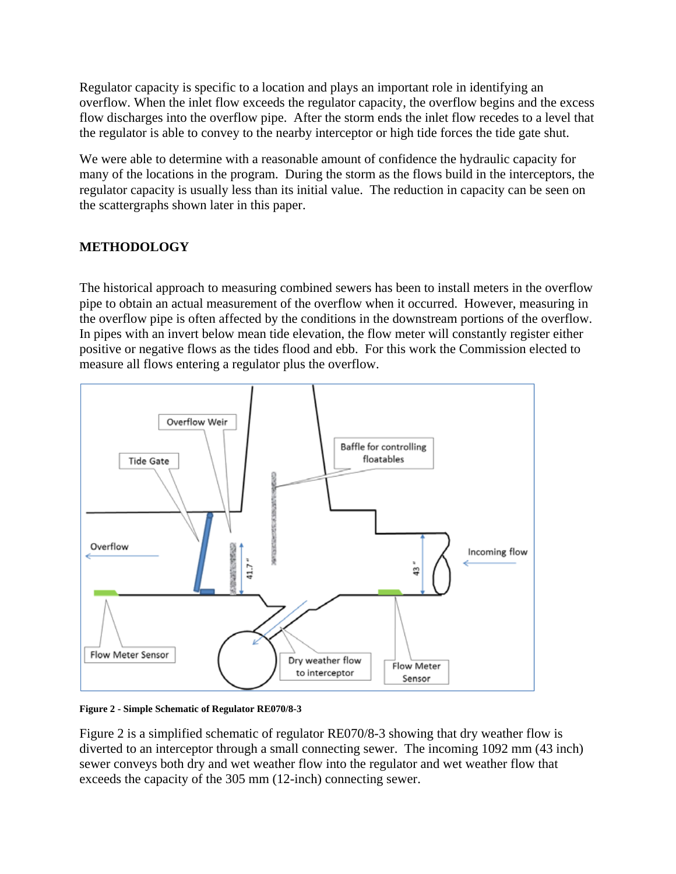Regulator capacity is specific to a location and plays an important role in identifying an overflow. When the inlet flow exceeds the regulator capacity, the overflow begins and the excess flow discharges into the overflow pipe. After the storm ends the inlet flow recedes to a level that the regulator is able to convey to the nearby interceptor or high tide forces the tide gate shut.

We were able to determine with a reasonable amount of confidence the hydraulic capacity for many of the locations in the program. During the storm as the flows build in the interceptors, the regulator capacity is usually less than its initial value. The reduction in capacity can be seen on the scattergraphs shown later in this paper.

### **METHODOLOGY**

The historical approach to measuring combined sewers has been to install meters in the overflow pipe to obtain an actual measurement of the overflow when it occurred. However, measuring in the overflow pipe is often affected by the conditions in the downstream portions of the overflow. In pipes with an invert below mean tide elevation, the flow meter will constantly register either positive or negative flows as the tides flood and ebb. For this work the Commission elected to measure all flows entering a regulator plus the overflow.



**Figure 2 - Simple Schematic of Regulator RE070/8-3**

Figure 2 is a simplified schematic of regulator RE070/8-3 showing that dry weather flow is diverted to an interceptor through a small connecting sewer. The incoming 1092 mm (43 inch) sewer conveys both dry and wet weather flow into the regulator and wet weather flow that exceeds the capacity of the 305 mm (12-inch) connecting sewer.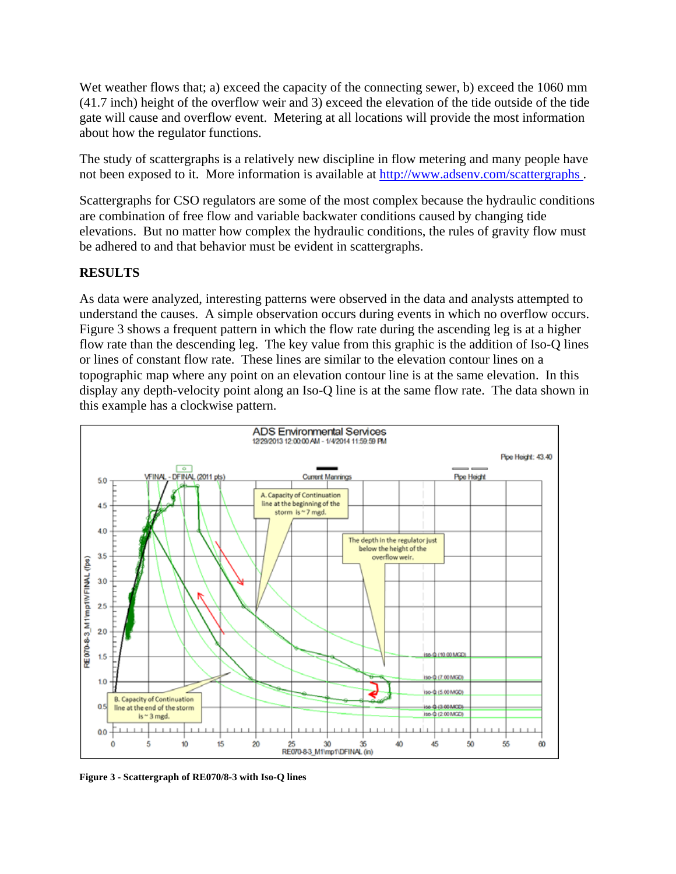Wet weather flows that; a) exceed the capacity of the connecting sewer, b) exceed the 1060 mm (41.7 inch) height of the overflow weir and 3) exceed the elevation of the tide outside of the tide gate will cause and overflow event. Metering at all locations will provide the most information about how the regulator functions.

The study of scattergraphs is a relatively new discipline in flow metering and many people have not been exposed to it. More information is available at http://www.adsenv.com/scattergraphs .

Scattergraphs for CSO regulators are some of the most complex because the hydraulic conditions are combination of free flow and variable backwater conditions caused by changing tide elevations. But no matter how complex the hydraulic conditions, the rules of gravity flow must be adhered to and that behavior must be evident in scattergraphs.

### **RESULTS**

As data were analyzed, interesting patterns were observed in the data and analysts attempted to understand the causes. A simple observation occurs during events in which no overflow occurs. Figure 3 shows a frequent pattern in which the flow rate during the ascending leg is at a higher flow rate than the descending leg. The key value from this graphic is the addition of Iso-Q lines or lines of constant flow rate. These lines are similar to the elevation contour lines on a topographic map where any point on an elevation contour line is at the same elevation. In this display any depth-velocity point along an Iso-Q line is at the same flow rate. The data shown in this example has a clockwise pattern.



**Figure 3 - Scattergraph of RE070/8-3 with Iso-Q lines**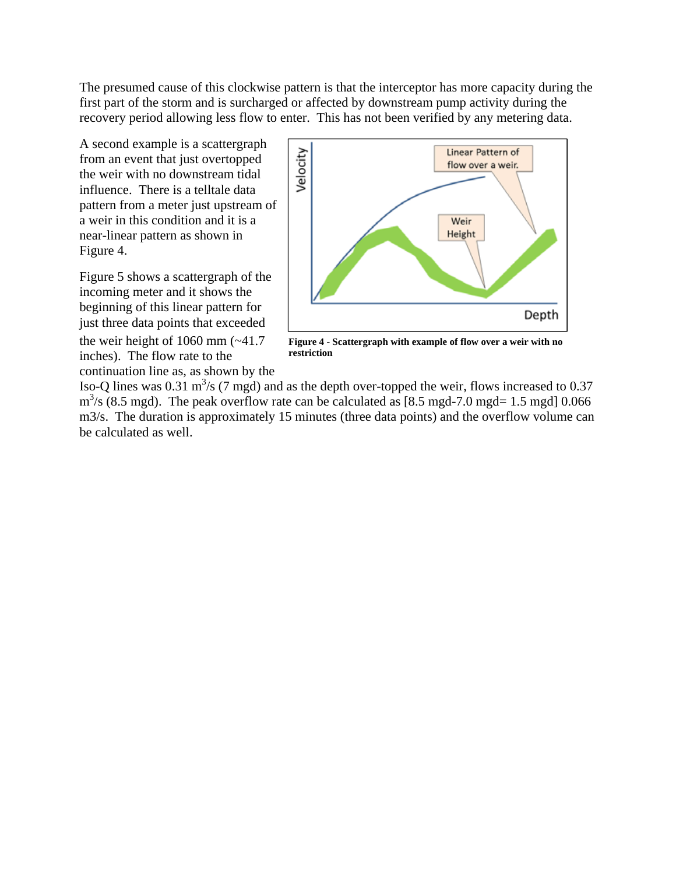The presumed cause of this clockwise pattern is that the interceptor has more capacity during the first part of the storm and is surcharged or affected by downstream pump activity during the recovery period allowing less flow to enter. This has not been verified by any metering data.

A second example is a scattergraph from an event that just overtopped the weir with no downstream tidal influence. There is a telltale data pattern from a meter just upstream of a weir in this condition and it is a near-linear pattern as shown in Figure 4.

Figure 5 shows a scattergraph of the incoming meter and it shows the beginning of this linear pattern for just three data points that exceeded

the weir height of  $1060$  mm  $(-41.7)$ inches). The flow rate to the continuation line as, as shown by the



**Figure 4 - Scattergraph with example of flow over a weir with no restriction**

Iso-Q lines was 0.31  $\text{m}^3$ /s (7 mgd) and as the depth over-topped the weir, flows increased to 0.37  $\text{m}^3$ /s (8.5 mgd). The peak overflow rate can be calculated as [8.5 mgd-7.0 mgd= 1.5 mgd] 0.066 m3/s. The duration is approximately 15 minutes (three data points) and the overflow volume can be calculated as well.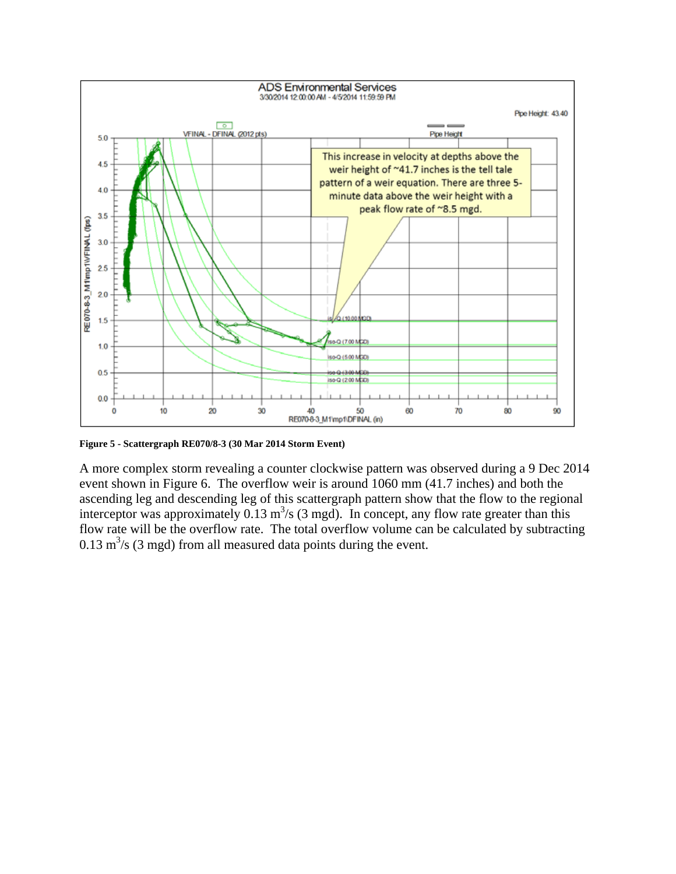

**Figure 5 - Scattergraph RE070/8-3 (30 Mar 2014 Storm Event)**

A more complex storm revealing a counter clockwise pattern was observed during a 9 Dec 2014 event shown in Figure 6. The overflow weir is around 1060 mm (41.7 inches) and both the ascending leg and descending leg of this scattergraph pattern show that the flow to the regional interceptor was approximately  $0.13 \text{ m}^3/\text{s}$  (3 mgd). In concept, any flow rate greater than this flow rate will be the overflow rate. The total overflow volume can be calculated by subtracting  $0.13 \text{ m}^3/\text{s}$  (3 mgd) from all measured data points during the event.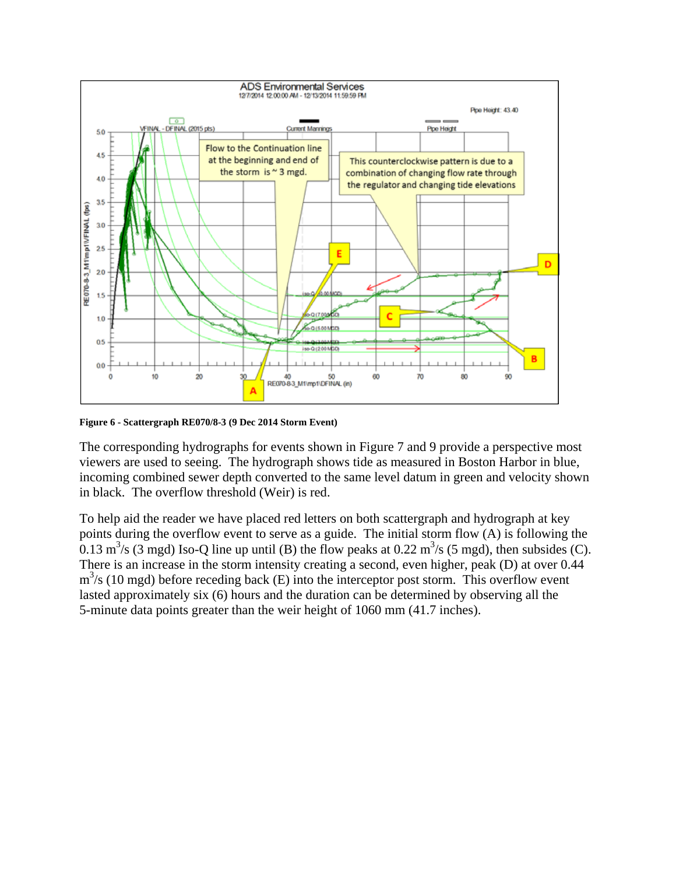

**Figure 6 - Scattergraph RE070/8-3 (9 Dec 2014 Storm Event)**

The corresponding hydrographs for events shown in Figure 7 and 9 provide a perspective most viewers are used to seeing. The hydrograph shows tide as measured in Boston Harbor in blue, incoming combined sewer depth converted to the same level datum in green and velocity shown in black. The overflow threshold (Weir) is red.

To help aid the reader we have placed red letters on both scattergraph and hydrograph at key points during the overflow event to serve as a guide. The initial storm flow (A) is following the 0.13 m<sup>3</sup>/s (3 mgd) Iso-Q line up until (B) the flow peaks at 0.22 m<sup>3</sup>/s (5 mgd), then subsides (C). There is an increase in the storm intensity creating a second, even higher, peak (D) at over 0.44 m<sup>3</sup>/s (10 mgd) before receding back (E) into the interceptor post storm. This overflow event lasted approximately six (6) hours and the duration can be determined by observing all the 5-minute data points greater than the weir height of 1060 mm (41.7 inches).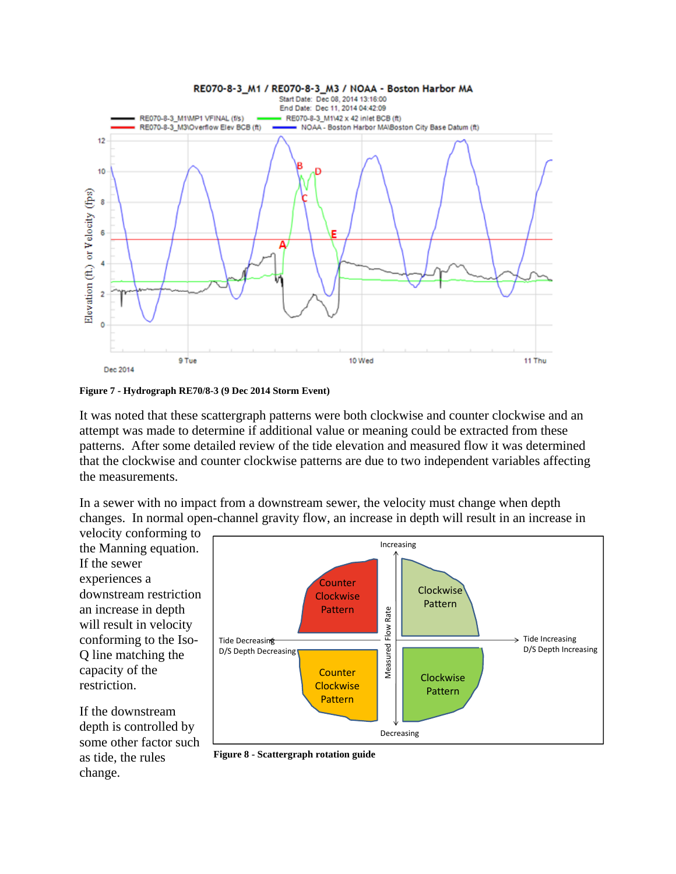

**Figure 7 - Hydrograph RE70/8-3 (9 Dec 2014 Storm Event)** 

It was noted that these scattergraph patterns were both clockwise and counter clockwise and an attempt was made to determine if additional value or meaning could be extracted from these patterns. After some detailed review of the tide elevation and measured flow it was determined that the clockwise and counter clockwise patterns are due to two independent variables affecting the measurements.

In a sewer with no impact from a downstream sewer, the velocity must change when depth changes. In normal open-channel gravity flow, an increase in depth will result in an increase in

velocity conforming to the Manning equation. If the sewer experiences a downstream restriction an increase in depth will result in velocity conforming to the Iso-Q line matching the capacity of the restriction.

If the downstream depth is controlled by some other factor such as tide, the rules change.



**Figure 8 - Scattergraph rotation guide**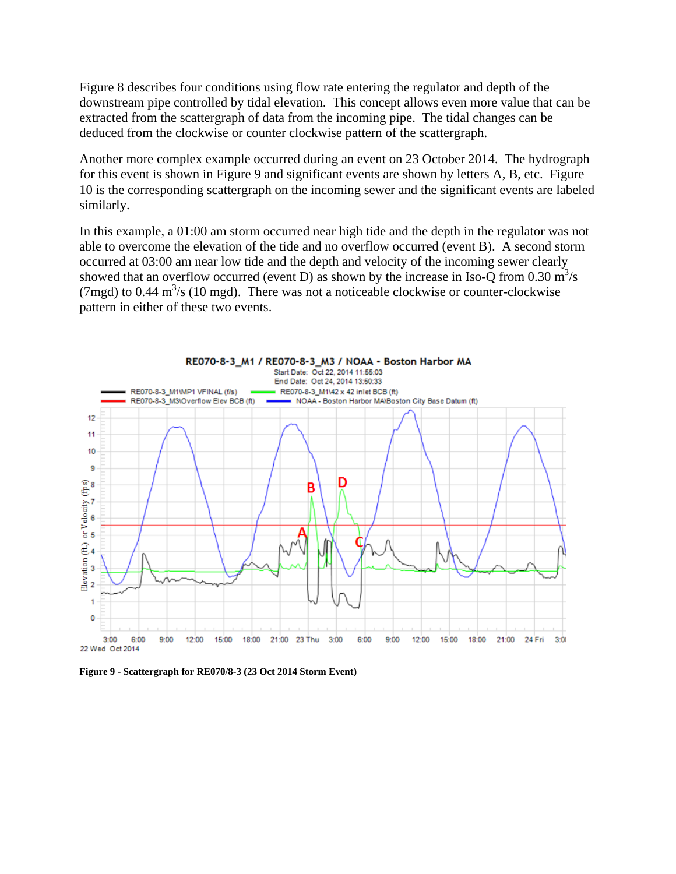Figure 8 describes four conditions using flow rate entering the regulator and depth of the downstream pipe controlled by tidal elevation. This concept allows even more value that can be extracted from the scattergraph of data from the incoming pipe. The tidal changes can be deduced from the clockwise or counter clockwise pattern of the scattergraph.

Another more complex example occurred during an event on 23 October 2014. The hydrograph for this event is shown in Figure 9 and significant events are shown by letters A, B, etc. Figure 10 is the corresponding scattergraph on the incoming sewer and the significant events are labeled similarly.

In this example, a 01:00 am storm occurred near high tide and the depth in the regulator was not able to overcome the elevation of the tide and no overflow occurred (event B). A second storm occurred at 03:00 am near low tide and the depth and velocity of the incoming sewer clearly showed that an overflow occurred (event D) as shown by the increase in Iso-Q from 0.30  $\text{m}^3/\text{s}$ (7mgd) to 0.44  $\text{m}^3$ /s (10 mgd). There was not a noticeable clockwise or counter-clockwise pattern in either of these two events.



**Figure 9 - Scattergraph for RE070/8-3 (23 Oct 2014 Storm Event)**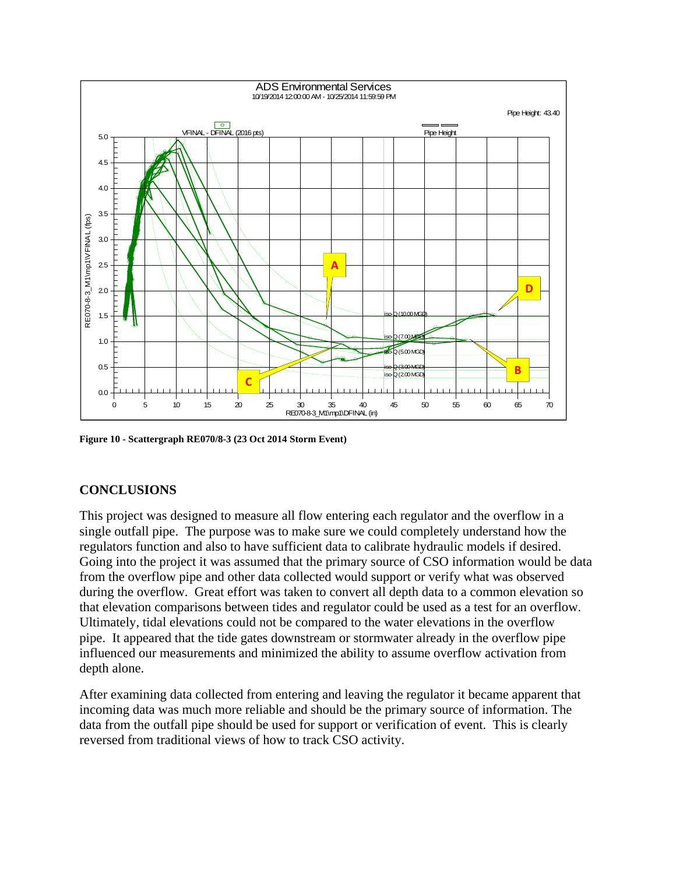

**Figure 10 - Scattergraph RE070/8-3 (23 Oct 2014 Storm Event)**

## **CONCLUSIONS**

This project was designed to measure all flow entering each regulator and the overflow in a single outfall pipe. The purpose was to make sure we could completely understand how the regulators function and also to have sufficient data to calibrate hydraulic models if desired. Going into the project it was assumed that the primary source of CSO information would be data from the overflow pipe and other data collected would support or verify what was observed during the overflow. Great effort was taken to convert all depth data to a common elevation so that elevation comparisons between tides and regulator could be used as a test for an overflow. Ultimately, tidal elevations could not be compared to the water elevations in the overflow pipe. It appeared that the tide gates downstream or stormwater already in the overflow pipe influenced our measurements and minimized the ability to assume overflow activation from depth alone.

After examining data collected from entering and leaving the regulator it became apparent that incoming data was much more reliable and should be the primary source of information. The data from the outfall pipe should be used for support or verification of event. This is clearly reversed from traditional views of how to track CSO activity.